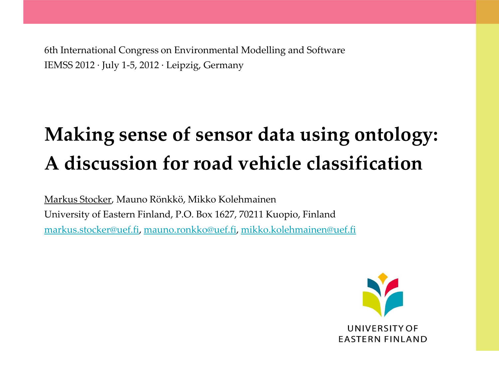6th International Congress on Environmental Modelling and Software IEMSS 2012 · July 1-5, 2012 · Leipzig, Germany

# **Making sense of sensor data using ontology: A discussion for road vehicle classification**

Markus Stocker, Mauno Rönkkö, Mikko Kolehmainen University of Eastern Finland, P.O. Box 1627, 70211 Kuopio, Finland [markus.stocker@uef.fi,](mailto:markus.stocker@uef.fi) [mauno.ronkko@uef.fi](mailto:mauno.ronkko@uef.fi), [mikko.kolehmainen@uef.fi](mailto:mikko.kolehmainen@uef.fi)

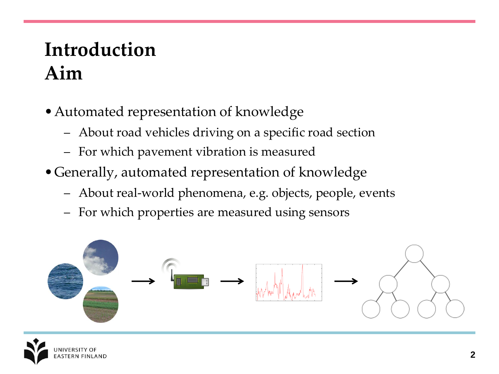# **Introduction Aim**

- •Automated representation of knowledge
	- About road vehicles driving on a specific road section
	- For which pavement vibration is measured
- •Generally, automated representation of knowledge
	- About real-world phenomena, e.g. objects, people, events
	- For which properties are measured using sensors



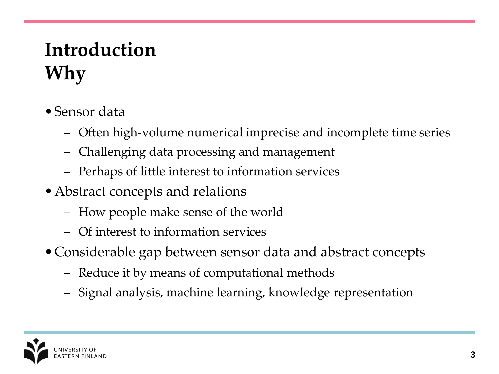# **Introduction Why**

- •Sensor data
	- Often high-volume numerical imprecise and incomplete time series
	- Challenging data processing and management
	- Perhaps of little interest to information services
- •Abstract concepts and relations
	- How people make sense of the world
	- Of interest to information services
- •Considerable gap between sensor data and abstract concepts
	- Reduce it by means of computational methods
	- Signal analysis, machine learning, knowledge representation

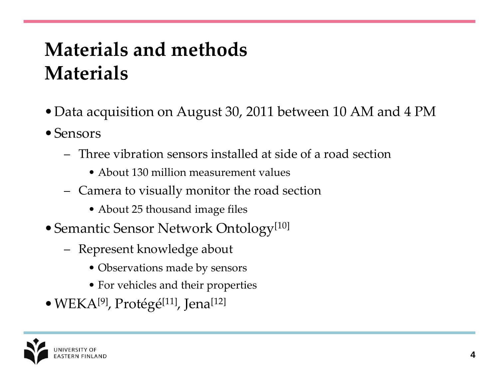### **Materials and methods Materials**

- •Data acquisition on August 30, 2011 between 10 AM and 4 PM
- Sensors
	- Three vibration sensors installed at side of a road section
		- About 130 million measurement values
	- Camera to visually monitor the road section
		- About 25 thousand image files
- Semantic Sensor Network Ontology<sup>[10]</sup>
	- Represent knowledge about
		- Observations made by sensors
		- For vehicles and their properties
- WEKA<sup>[9]</sup>, Protégé<sup>[11]</sup>, Jena<sup>[12]</sup>

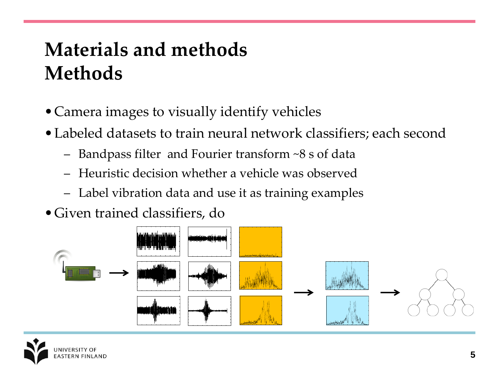### **Materials and methods Methods**

- •Camera images to visually identify vehicles
- •Labeled datasets to train neural network classifiers; each second
	- Bandpass filter and Fourier transform ~8 s of data
	- Heuristic decision whether a vehicle was observed
	- Label vibration data and use it as training examples
- •Given trained classifiers, do



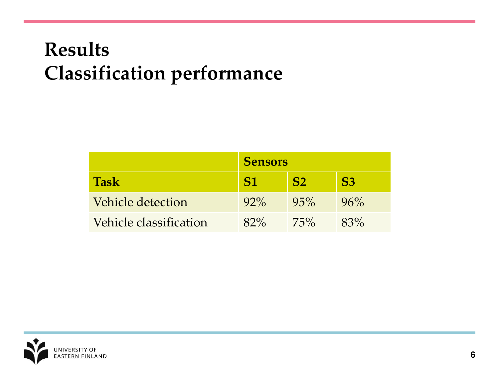### **Results Classification performance**

|                        | <b>Sensors</b> |                |                |
|------------------------|----------------|----------------|----------------|
| <b>Task</b>            |                | S <sub>2</sub> | S <sub>3</sub> |
| Vehicle detection      | $92\%$         | 95%            | 96%            |
| Vehicle classification | 82%            | 75%            | 83%            |

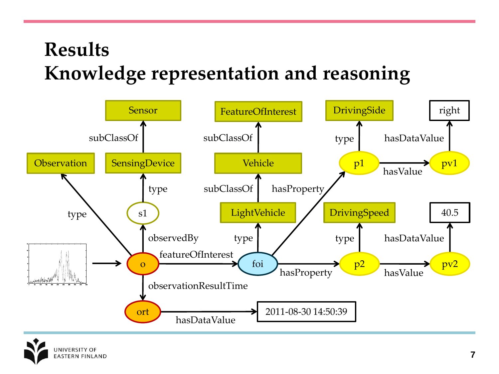### **Results Knowledge representation and reasoning**



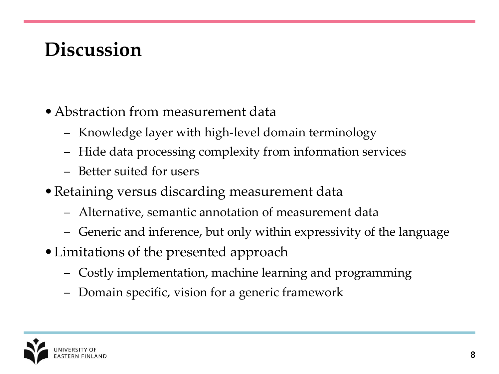# **Discussion**

- •Abstraction from measurement data
	- Knowledge layer with high-level domain terminology
	- Hide data processing complexity from information services
	- Better suited for users
- •Retaining versus discarding measurement data
	- Alternative, semantic annotation of measurement data
	- Generic and inference, but only within expressivity of the language
- •Limitations of the presented approach
	- Costly implementation, machine learning and programming
	- Domain specific, vision for a generic framework

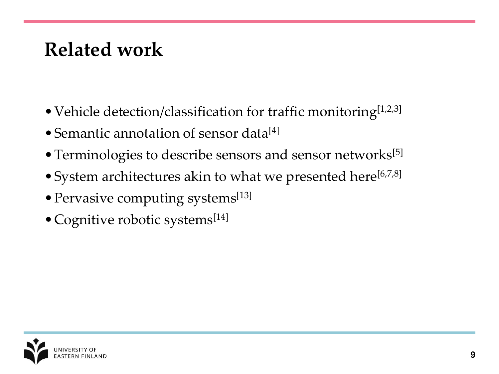#### **Related work**

- Vehicle detection/classification for traffic monitoring<sup>[1,2,3]</sup>
- Semantic annotation of sensor data<sup>[4]</sup>
- Terminologies to describe sensors and sensor networks<sup>[5]</sup>
- System architectures akin to what we presented here<sup>[6,7,8]</sup>
- Pervasive computing systems<sup>[13]</sup>
- Cognitive robotic systems<sup>[14]</sup>

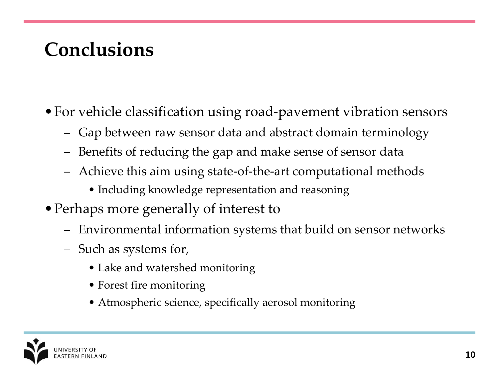# **Conclusions**

- •For vehicle classification using road-pavement vibration sensors
	- Gap between raw sensor data and abstract domain terminology
	- Benefits of reducing the gap and make sense of sensor data
	- Achieve this aim using state-of-the-art computational methods
		- Including knowledge representation and reasoning
- •Perhaps more generally of interest to
	- Environmental information systems that build on sensor networks
	- Such as systems for,
		- Lake and watershed monitoring
		- Forest fire monitoring
		- Atmospheric science, specifically aerosol monitoring